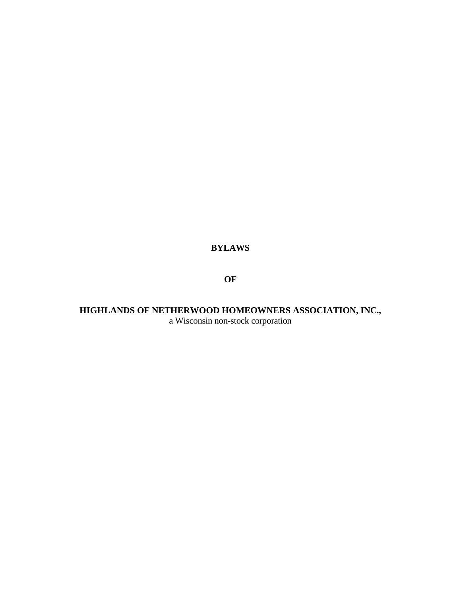# **BYLAWS**

**OF**

**HIGHLANDS OF NETHERWOOD HOMEOWNERS ASSOCIATION, INC.,** a Wisconsin non-stock corporation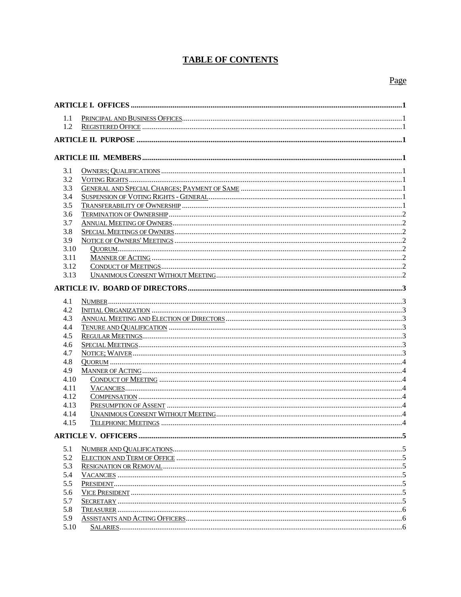# **TABLE OF CONTENTS**

# Page

| 1.1  |  |  |  |  |  |
|------|--|--|--|--|--|
| 1.2  |  |  |  |  |  |
|      |  |  |  |  |  |
|      |  |  |  |  |  |
|      |  |  |  |  |  |
| 3.1  |  |  |  |  |  |
| 3.2  |  |  |  |  |  |
| 3.3  |  |  |  |  |  |
| 3.4  |  |  |  |  |  |
| 3.5  |  |  |  |  |  |
| 3.6  |  |  |  |  |  |
| 3.7  |  |  |  |  |  |
| 3.8  |  |  |  |  |  |
| 3.9  |  |  |  |  |  |
| 3.10 |  |  |  |  |  |
| 3.11 |  |  |  |  |  |
| 3.12 |  |  |  |  |  |
| 3.13 |  |  |  |  |  |
|      |  |  |  |  |  |
|      |  |  |  |  |  |
| 4.1  |  |  |  |  |  |
| 4.2  |  |  |  |  |  |
| 4.3  |  |  |  |  |  |
| 4.4  |  |  |  |  |  |
| 4.5  |  |  |  |  |  |
| 4.6  |  |  |  |  |  |
| 4.7  |  |  |  |  |  |
| 4.8  |  |  |  |  |  |
| 4.9  |  |  |  |  |  |
| 4.10 |  |  |  |  |  |
| 4.11 |  |  |  |  |  |
| 4.12 |  |  |  |  |  |
| 4.13 |  |  |  |  |  |
| 4.14 |  |  |  |  |  |
| 4.15 |  |  |  |  |  |
|      |  |  |  |  |  |
| 5.1  |  |  |  |  |  |
| 5.2  |  |  |  |  |  |
| 5.3  |  |  |  |  |  |
| 5.4  |  |  |  |  |  |
| 5.5  |  |  |  |  |  |
| 5.6  |  |  |  |  |  |
| 5.7  |  |  |  |  |  |
| 5.8  |  |  |  |  |  |
| 5.9  |  |  |  |  |  |
| 5.10 |  |  |  |  |  |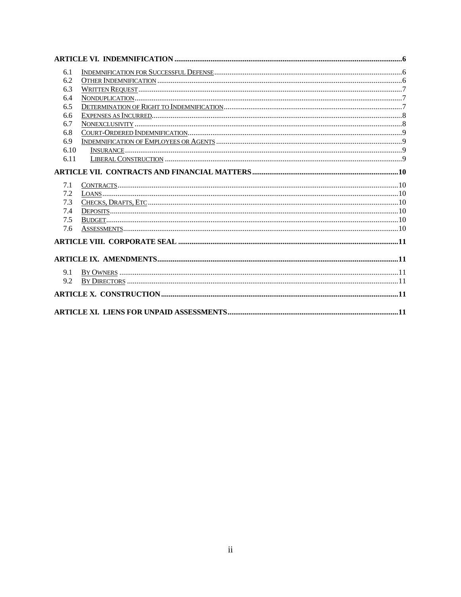| 6.1  |  |
|------|--|
| 6.2  |  |
| 6.3  |  |
| 6.4  |  |
| 6.5  |  |
| 6.6  |  |
| 6.7  |  |
| 6.8  |  |
| 6.9  |  |
| 6.10 |  |
| 6.11 |  |
|      |  |
|      |  |
| 7.1  |  |
| 7.2  |  |
| 7.3  |  |
| 7.4  |  |
| 7.5  |  |
| 7.6  |  |
|      |  |
|      |  |
|      |  |
| 9.1  |  |
| 9.2  |  |
|      |  |
|      |  |
|      |  |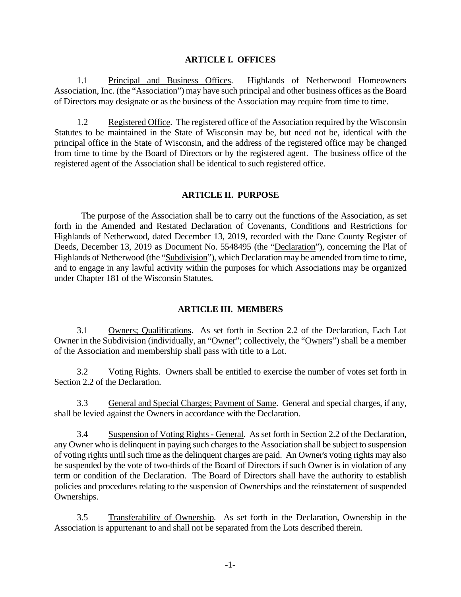#### **ARTICLE I. OFFICES**

1.1 Principal and Business Offices. Highlands of Netherwood Homeowners Association, Inc. (the "Association") may have such principal and other business offices as the Board of Directors may designate or as the business of the Association may require from time to time.

1.2 Registered Office. The registered office of the Association required by the Wisconsin Statutes to be maintained in the State of Wisconsin may be, but need not be, identical with the principal office in the State of Wisconsin, and the address of the registered office may be changed from time to time by the Board of Directors or by the registered agent. The business office of the registered agent of the Association shall be identical to such registered office.

### **ARTICLE II. PURPOSE**

The purpose of the Association shall be to carry out the functions of the Association, as set forth in the Amended and Restated Declaration of Covenants, Conditions and Restrictions for Highlands of Netherwood, dated December 13, 2019, recorded with the Dane County Register of Deeds, December 13, 2019 as Document No. 5548495 (the "Declaration"), concerning the Plat of Highlands of Netherwood (the "Subdivision"), which Declaration may be amended from time to time, and to engage in any lawful activity within the purposes for which Associations may be organized under Chapter 181 of the Wisconsin Statutes.

### **ARTICLE III. MEMBERS**

3.1 Owners; Qualifications. As set forth in Section 2.2 of the Declaration, Each Lot Owner in the Subdivision (individually, an "Owner"; collectively, the "Owners") shall be a member of the Association and membership shall pass with title to a Lot.

3.2 Voting Rights. Owners shall be entitled to exercise the number of votes set forth in Section 2.2 of the Declaration.

3.3 General and Special Charges; Payment of Same. General and special charges, if any, shall be levied against the Owners in accordance with the Declaration.

3.4 Suspension of Voting Rights - General. As set forth in Section 2.2 of the Declaration, any Owner who is delinquent in paying such charges to the Association shall be subject to suspension of voting rights until such time as the delinquent charges are paid. An Owner's voting rights may also be suspended by the vote of two-thirds of the Board of Directors if such Owner is in violation of any term or condition of the Declaration. The Board of Directors shall have the authority to establish policies and procedures relating to the suspension of Ownerships and the reinstatement of suspended Ownerships.

3.5 Transferability of Ownership. As set forth in the Declaration, Ownership in the Association is appurtenant to and shall not be separated from the Lots described therein.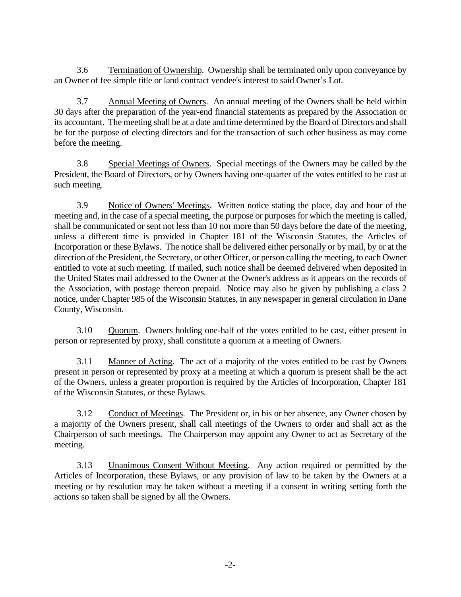3.6 Termination of Ownership. Ownership shall be terminated only upon conveyance by an Owner of fee simple title or land contract vendee's interest to said Owner's Lot.

3.7 Annual Meeting of Owners. An annual meeting of the Owners shall be held within 30 days after the preparation of the year-end financial statements as prepared by the Association or its accountant. The meeting shall be at a date and time determined by the Board of Directors and shall be for the purpose of electing directors and for the transaction of such other business as may come before the meeting.

3.8 Special Meetings of Owners. Special meetings of the Owners may be called by the President, the Board of Directors, or by Owners having one-quarter of the votes entitled to be cast at such meeting.

3.9 Notice of Owners' Meetings. Written notice stating the place, day and hour of the meeting and, in the case of a special meeting, the purpose or purposes for which the meeting is called, shall be communicated or sent not less than 10 nor more than 50 days before the date of the meeting, unless a different time is provided in Chapter 181 of the Wisconsin Statutes, the Articles of Incorporation or these Bylaws. The notice shall be delivered either personally or by mail, by or at the direction of the President, the Secretary, or other Officer, or person calling the meeting, to each Owner entitled to vote at such meeting. If mailed, such notice shall be deemed delivered when deposited in the United States mail addressed to the Owner at the Owner's address as it appears on the records of the Association, with postage thereon prepaid. Notice may also be given by publishing a class 2 notice, under Chapter 985 of the Wisconsin Statutes, in any newspaper in general circulation in Dane County, Wisconsin.

3.10 Quorum. Owners holding one-half of the votes entitled to be cast, either present in person or represented by proxy, shall constitute a quorum at a meeting of Owners.

3.11 Manner of Acting. The act of a majority of the votes entitled to be cast by Owners present in person or represented by proxy at a meeting at which a quorum is present shall be the act of the Owners, unless a greater proportion is required by the Articles of Incorporation, Chapter 181 of the Wisconsin Statutes, or these Bylaws.

3.12 Conduct of Meetings. The President or, in his or her absence, any Owner chosen by a majority of the Owners present, shall call meetings of the Owners to order and shall act as the Chairperson of such meetings. The Chairperson may appoint any Owner to act as Secretary of the meeting.

3.13 Unanimous Consent Without Meeting. Any action required or permitted by the Articles of Incorporation, these Bylaws, or any provision of law to be taken by the Owners at a meeting or by resolution may be taken without a meeting if a consent in writing setting forth the actions so taken shall be signed by all the Owners.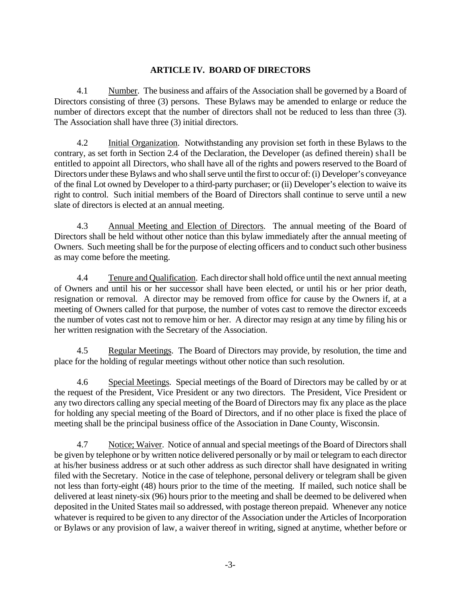## **ARTICLE IV. BOARD OF DIRECTORS**

4.1 Number. The business and affairs of the Association shall be governed by a Board of Directors consisting of three (3) persons. These Bylaws may be amended to enlarge or reduce the number of directors except that the number of directors shall not be reduced to less than three (3). The Association shall have three (3) initial directors.

4.2 Initial Organization. Notwithstanding any provision set forth in these Bylaws to the contrary, as set forth in Section 2.4 of the Declaration, the Developer (as defined therein) shall be entitled to appoint all Directors, who shall have all of the rights and powers reserved to the Board of Directors under these Bylaws and who shall serve until the first to occur of:(i) Developer's conveyance of the final Lot owned by Developer to a third-party purchaser; or (ii) Developer's election to waive its right to control. Such initial members of the Board of Directors shall continue to serve until a new slate of directors is elected at an annual meeting.

4.3 Annual Meeting and Election of Directors. The annual meeting of the Board of Directors shall be held without other notice than this bylaw immediately after the annual meeting of Owners. Such meeting shall be for the purpose of electing officers and to conduct such other business as may come before the meeting.

4.4 Tenure and Qualification. Each director shall hold office until the next annual meeting of Owners and until his or her successor shall have been elected, or until his or her prior death, resignation or removal. A director may be removed from office for cause by the Owners if, at a meeting of Owners called for that purpose, the number of votes cast to remove the director exceeds the number of votes cast not to remove him or her. A director may resign at any time by filing his or her written resignation with the Secretary of the Association.

4.5 Regular Meetings. The Board of Directors may provide, by resolution, the time and place for the holding of regular meetings without other notice than such resolution.

4.6 Special Meetings. Special meetings of the Board of Directors may be called by or at the request of the President, Vice President or any two directors. The President, Vice President or any two directors calling any special meeting of the Board of Directors may fix any place as the place for holding any special meeting of the Board of Directors, and if no other place is fixed the place of meeting shall be the principal business office of the Association in Dane County, Wisconsin.

4.7 Notice; Waiver. Notice of annual and special meetings of the Board of Directors shall be given by telephone or by written notice delivered personally or by mail or telegram to each director at his/her business address or at such other address as such director shall have designated in writing filed with the Secretary. Notice in the case of telephone, personal delivery or telegram shall be given not less than forty-eight (48) hours prior to the time of the meeting. If mailed, such notice shall be delivered at least ninety-six (96) hours prior to the meeting and shall be deemed to be delivered when deposited in the United States mail so addressed, with postage thereon prepaid. Whenever any notice whatever is required to be given to any director of the Association under the Articles of Incorporation or Bylaws or any provision of law, a waiver thereof in writing, signed at anytime, whether before or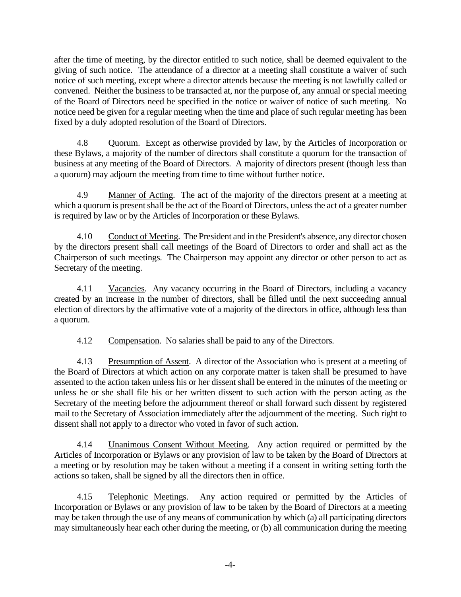after the time of meeting, by the director entitled to such notice, shall be deemed equivalent to the giving of such notice. The attendance of a director at a meeting shall constitute a waiver of such notice of such meeting, except where a director attends because the meeting is not lawfully called or convened. Neither the business to be transacted at, nor the purpose of, any annual or special meeting of the Board of Directors need be specified in the notice or waiver of notice of such meeting. No notice need be given for a regular meeting when the time and place of such regular meeting has been fixed by a duly adopted resolution of the Board of Directors.

4.8 Quorum. Except as otherwise provided by law, by the Articles of Incorporation or these Bylaws, a majority of the number of directors shall constitute a quorum for the transaction of business at any meeting of the Board of Directors. A majority of directors present (though less than a quorum) may adjourn the meeting from time to time without further notice.

4.9 Manner of Acting. The act of the majority of the directors present at a meeting at which a quorum is present shall be the act of the Board of Directors, unless the act of a greater number is required by law or by the Articles of Incorporation or these Bylaws.

4.10 Conduct of Meeting. The President and in the President's absence, any director chosen by the directors present shall call meetings of the Board of Directors to order and shall act as the Chairperson of such meetings. The Chairperson may appoint any director or other person to act as Secretary of the meeting.

4.11 Vacancies. Any vacancy occurring in the Board of Directors, including a vacancy created by an increase in the number of directors, shall be filled until the next succeeding annual election of directors by the affirmative vote of a majority of the directors in office, although less than a quorum.

4.12 Compensation. No salaries shall be paid to any of the Directors.

4.13 Presumption of Assent. A director of the Association who is present at a meeting of the Board of Directors at which action on any corporate matter is taken shall be presumed to have assented to the action taken unless his or her dissent shall be entered in the minutes of the meeting or unless he or she shall file his or her written dissent to such action with the person acting as the Secretary of the meeting before the adjournment thereof or shall forward such dissent by registered mail to the Secretary of Association immediately after the adjournment of the meeting. Such right to dissent shall not apply to a director who voted in favor of such action.

4.14 Unanimous Consent Without Meeting. Any action required or permitted by the Articles of Incorporation or Bylaws or any provision of law to be taken by the Board of Directors at a meeting or by resolution may be taken without a meeting if a consent in writing setting forth the actions so taken, shall be signed by all the directors then in office.

4.15 Telephonic Meetings. Any action required or permitted by the Articles of Incorporation or Bylaws or any provision of law to be taken by the Board of Directors at a meeting may be taken through the use of any means of communication by which (a) all participating directors may simultaneously hear each other during the meeting, or (b) all communication during the meeting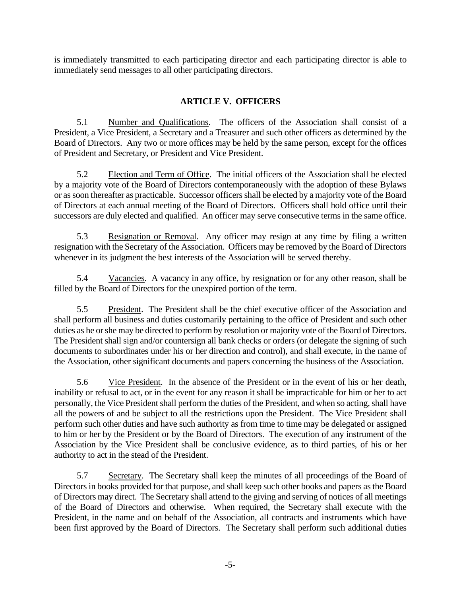is immediately transmitted to each participating director and each participating director is able to immediately send messages to all other participating directors.

## **ARTICLE V. OFFICERS**

5.1 Number and Qualifications. The officers of the Association shall consist of a President, a Vice President, a Secretary and a Treasurer and such other officers as determined by the Board of Directors. Any two or more offices may be held by the same person, except for the offices of President and Secretary, or President and Vice President.

5.2 Election and Term of Office. The initial officers of the Association shall be elected by a majority vote of the Board of Directors contemporaneously with the adoption of these Bylaws or as soon thereafter as practicable. Successor officers shall be elected by a majority vote of the Board of Directors at each annual meeting of the Board of Directors. Officers shall hold office until their successors are duly elected and qualified. An officer may serve consecutive terms in the same office.

5.3 Resignation or Removal. Any officer may resign at any time by filing a written resignation with the Secretary of the Association. Officers may be removed by the Board of Directors whenever in its judgment the best interests of the Association will be served thereby.

5.4 Vacancies. A vacancy in any office, by resignation or for any other reason, shall be filled by the Board of Directors for the unexpired portion of the term.

5.5 President. The President shall be the chief executive officer of the Association and shall perform all business and duties customarily pertaining to the office of President and such other duties as he or she may be directed to perform by resolution or majority vote of the Board of Directors. The President shall sign and/or countersign all bank checks or orders (or delegate the signing of such documents to subordinates under his or her direction and control), and shall execute, in the name of the Association, other significant documents and papers concerning the business of the Association.

5.6 Vice President. In the absence of the President or in the event of his or her death, inability or refusal to act, or in the event for any reason it shall be impracticable for him or her to act personally, the Vice President shall perform the duties of the President, and when so acting, shall have all the powers of and be subject to all the restrictions upon the President. The Vice President shall perform such other duties and have such authority as from time to time may be delegated or assigned to him or her by the President or by the Board of Directors. The execution of any instrument of the Association by the Vice President shall be conclusive evidence, as to third parties, of his or her authority to act in the stead of the President.

5.7 Secretary. The Secretary shall keep the minutes of all proceedings of the Board of Directors in books provided for that purpose, and shall keep such other books and papers as the Board of Directors may direct. The Secretary shall attend to the giving and serving of notices of all meetings of the Board of Directors and otherwise. When required, the Secretary shall execute with the President, in the name and on behalf of the Association, all contracts and instruments which have been first approved by the Board of Directors. The Secretary shall perform such additional duties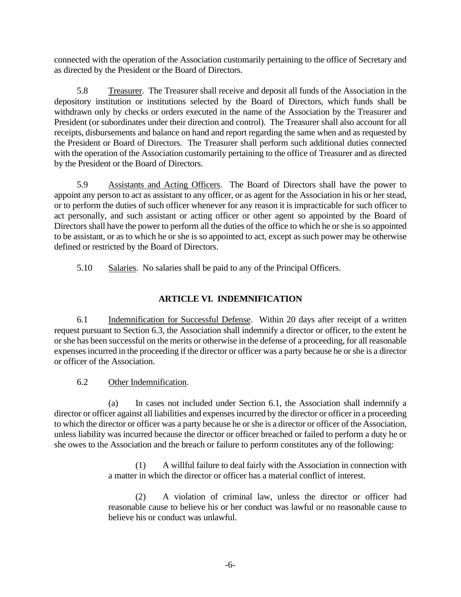connected with the operation of the Association customarily pertaining to the office of Secretary and as directed by the President or the Board of Directors.

5.8 Treasurer. The Treasurer shall receive and deposit all funds of the Association in the depository institution or institutions selected by the Board of Directors, which funds shall be withdrawn only by checks or orders executed in the name of the Association by the Treasurer and President (or subordinates under their direction and control). The Treasurer shall also account for all receipts, disbursements and balance on hand and report regarding the same when and as requested by the President or Board of Directors. The Treasurer shall perform such additional duties connected with the operation of the Association customarily pertaining to the office of Treasurer and as directed by the President or the Board of Directors.

5.9 Assistants and Acting Officers. The Board of Directors shall have the power to appoint any person to act as assistant to any officer, or as agent for the Association in his or her stead, or to perform the duties of such officer whenever for any reason it is impracticable for such officer to act personally, and such assistant or acting officer or other agent so appointed by the Board of Directors shall have the power to perform all the duties of the office to which he or she is so appointed to be assistant, or as to which he or she is so appointed to act, except as such power may be otherwise defined or restricted by the Board of Directors.

5.10 Salaries. No salaries shall be paid to any of the Principal Officers.

## **ARTICLE VI. INDEMNIFICATION**

6.1 Indemnification for Successful Defense. Within 20 days after receipt of a written request pursuant to Section 6.3, the Association shall indemnify a director or officer, to the extent he or she has been successful on the merits or otherwise in the defense of a proceeding, for all reasonable expenses incurred in the proceeding if the director or officer was a party because he or she is a director or officer of the Association.

6.2 Other Indemnification.

(a) In cases not included under Section 6.1, the Association shall indemnify a director or officer against all liabilities and expenses incurred by the director or officer in a proceeding to which the director or officer was a party because he or she is a director or officer of the Association, unless liability was incurred because the director or officer breached or failed to perform a duty he or she owes to the Association and the breach or failure to perform constitutes any of the following:

> (1) A willful failure to deal fairly with the Association in connection with a matter in which the director or officer has a material conflict of interest.

> (2) A violation of criminal law, unless the director or officer had reasonable cause to believe his or her conduct was lawful or no reasonable cause to believe his or conduct was unlawful.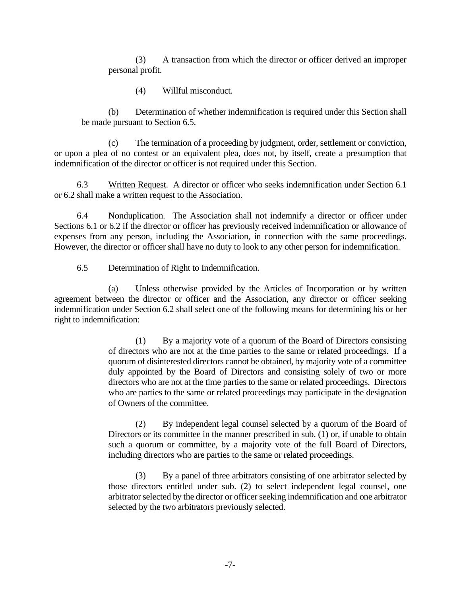(3) A transaction from which the director or officer derived an improper personal profit.

(4) Willful misconduct.

(b) Determination of whether indemnification is required under this Section shall be made pursuant to Section 6.5.

(c) The termination of a proceeding by judgment, order, settlement or conviction, or upon a plea of no contest or an equivalent plea, does not, by itself, create a presumption that indemnification of the director or officer is not required under this Section.

6.3 Written Request. A director or officer who seeks indemnification under Section 6.1 or 6.2 shall make a written request to the Association.

6.4 Nonduplication. The Association shall not indemnify a director or officer under Sections 6.1 or 6.2 if the director or officer has previously received indemnification or allowance of expenses from any person, including the Association, in connection with the same proceedings. However, the director or officer shall have no duty to look to any other person for indemnification.

### 6.5 Determination of Right to Indemnification.

(a) Unless otherwise provided by the Articles of Incorporation or by written agreement between the director or officer and the Association, any director or officer seeking indemnification under Section 6.2 shall select one of the following means for determining his or her right to indemnification:

> (1) By a majority vote of a quorum of the Board of Directors consisting of directors who are not at the time parties to the same or related proceedings. If a quorum of disinterested directors cannot be obtained, by majority vote of a committee duly appointed by the Board of Directors and consisting solely of two or more directors who are not at the time parties to the same or related proceedings. Directors who are parties to the same or related proceedings may participate in the designation of Owners of the committee.

> (2) By independent legal counsel selected by a quorum of the Board of Directors or its committee in the manner prescribed in sub. (1) or, if unable to obtain such a quorum or committee, by a majority vote of the full Board of Directors, including directors who are parties to the same or related proceedings.

> (3) By a panel of three arbitrators consisting of one arbitrator selected by those directors entitled under sub. (2) to select independent legal counsel, one arbitrator selected by the director or officer seeking indemnification and one arbitrator selected by the two arbitrators previously selected.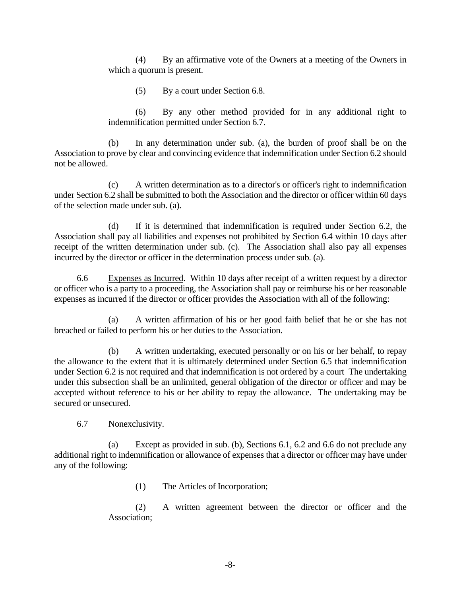(4) By an affirmative vote of the Owners at a meeting of the Owners in which a quorum is present.

(5) By a court under Section 6.8.

(6) By any other method provided for in any additional right to indemnification permitted under Section 6.7.

(b) In any determination under sub. (a), the burden of proof shall be on the Association to prove by clear and convincing evidence that indemnification under Section 6.2 should not be allowed.

(c) A written determination as to a director's or officer's right to indemnification under Section 6.2 shall be submitted to both the Association and the director or officer within 60 days of the selection made under sub. (a).

(d) If it is determined that indemnification is required under Section 6.2, the Association shall pay all liabilities and expenses not prohibited by Section 6.4 within 10 days after receipt of the written determination under sub. (c). The Association shall also pay all expenses incurred by the director or officer in the determination process under sub. (a).

6.6 Expenses as Incurred. Within 10 days after receipt of a written request by a director or officer who is a party to a proceeding, the Association shall pay or reimburse his or her reasonable expenses as incurred if the director or officer provides the Association with all of the following:

(a) A written affirmation of his or her good faith belief that he or she has not breached or failed to perform his or her duties to the Association.

(b) A written undertaking, executed personally or on his or her behalf, to repay the allowance to the extent that it is ultimately determined under Section 6.5 that indemnification under Section 6.2 is not required and that indemnification is not ordered by a court The undertaking under this subsection shall be an unlimited, general obligation of the director or officer and may be accepted without reference to his or her ability to repay the allowance. The undertaking may be secured or unsecured.

6.7 Nonexclusivity.

(a) Except as provided in sub. (b), Sections 6.1, 6.2 and 6.6 do not preclude any additional right to indemnification or allowance of expenses that a director or officer may have under any of the following:

(1) The Articles of Incorporation;

(2) A written agreement between the director or officer and the Association;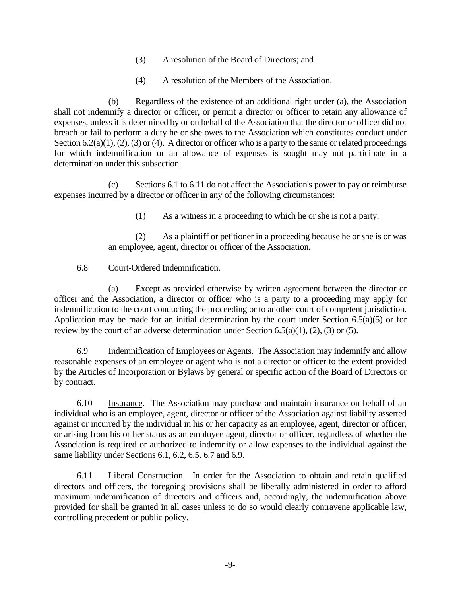- (3) A resolution of the Board of Directors; and
- (4) A resolution of the Members of the Association.

(b) Regardless of the existence of an additional right under (a), the Association shall not indemnify a director or officer, or permit a director or officer to retain any allowance of expenses, unless it is determined by or on behalf of the Association that the director or officer did not breach or fail to perform a duty he or she owes to the Association which constitutes conduct under Section 6.2(a)(1), (2), (3) or (4). A director or officer who is a party to the same or related proceedings for which indemnification or an allowance of expenses is sought may not participate in a determination under this subsection.

(c) Sections 6.1 to 6.11 do not affect the Association's power to pay or reimburse expenses incurred by a director or officer in any of the following circumstances:

(1) As a witness in a proceeding to which he or she is not a party.

(2) As a plaintiff or petitioner in a proceeding because he or she is or was an employee, agent, director or officer of the Association.

### 6.8 Court-Ordered Indemnification.

(a) Except as provided otherwise by written agreement between the director or officer and the Association, a director or officer who is a party to a proceeding may apply for indemnification to the court conducting the proceeding or to another court of competent jurisdiction. Application may be made for an initial determination by the court under Section 6.5(a)(5) or for review by the court of an adverse determination under Section 6.5(a)(1), (2), (3) or (5).

6.9 Indemnification of Employees or Agents. The Association may indemnify and allow reasonable expenses of an employee or agent who is not a director or officer to the extent provided by the Articles of Incorporation or Bylaws by general or specific action of the Board of Directors or by contract.

6.10 Insurance. The Association may purchase and maintain insurance on behalf of an individual who is an employee, agent, director or officer of the Association against liability asserted against or incurred by the individual in his or her capacity as an employee, agent, director or officer, or arising from his or her status as an employee agent, director or officer, regardless of whether the Association is required or authorized to indemnify or allow expenses to the individual against the same liability under Sections 6.1, 6.2, 6.5, 6.7 and 6.9.

6.11 Liberal Construction. In order for the Association to obtain and retain qualified directors and officers, the foregoing provisions shall be liberally administered in order to afford maximum indemnification of directors and officers and, accordingly, the indemnification above provided for shall be granted in all cases unless to do so would clearly contravene applicable law, controlling precedent or public policy.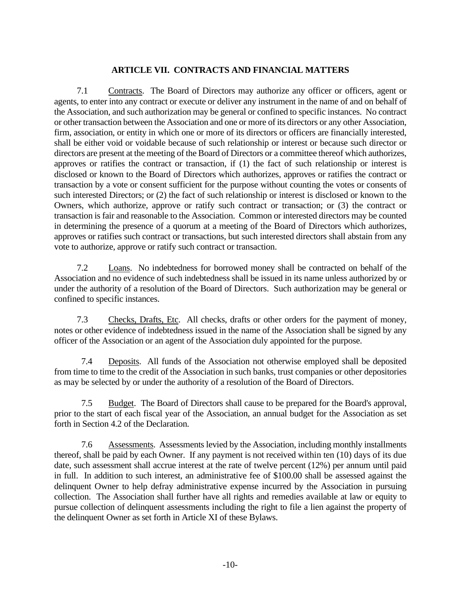## **ARTICLE VII. CONTRACTS AND FINANCIAL MATTERS**

7.1 Contracts. The Board of Directors may authorize any officer or officers, agent or agents, to enter into any contract or execute or deliver any instrument in the name of and on behalf of the Association, and such authorization may be general or confined to specific instances. No contract or other transaction between the Association and one or more of its directors or any other Association, firm, association, or entity in which one or more of its directors or officers are financially interested, shall be either void or voidable because of such relationship or interest or because such director or directors are present at the meeting of the Board of Directors or a committee thereof which authorizes, approves or ratifies the contract or transaction, if (1) the fact of such relationship or interest is disclosed or known to the Board of Directors which authorizes, approves or ratifies the contract or transaction by a vote or consent sufficient for the purpose without counting the votes or consents of such interested Directors; or (2) the fact of such relationship or interest is disclosed or known to the Owners, which authorize, approve or ratify such contract or transaction; or (3) the contract or transaction is fair and reasonable to the Association. Common or interested directors may be counted in determining the presence of a quorum at a meeting of the Board of Directors which authorizes, approves or ratifies such contract or transactions, but such interested directors shall abstain from any vote to authorize, approve or ratify such contract or transaction.

7.2 Loans. No indebtedness for borrowed money shall be contracted on behalf of the Association and no evidence of such indebtedness shall be issued in its name unless authorized by or under the authority of a resolution of the Board of Directors. Such authorization may be general or confined to specific instances.

7.3 Checks, Drafts, Etc. All checks, drafts or other orders for the payment of money, notes or other evidence of indebtedness issued in the name of the Association shall be signed by any officer of the Association or an agent of the Association duly appointed for the purpose.

7.4 Deposits. All funds of the Association not otherwise employed shall be deposited from time to time to the credit of the Association in such banks, trust companies or other depositories as may be selected by or under the authority of a resolution of the Board of Directors.

7.5 Budget. The Board of Directors shall cause to be prepared for the Board's approval, prior to the start of each fiscal year of the Association, an annual budget for the Association as set forth in Section 4.2 of the Declaration.

7.6 Assessments. Assessments levied by the Association, including monthly installments thereof, shall be paid by each Owner. If any payment is not received within ten (10) days of its due date, such assessment shall accrue interest at the rate of twelve percent (12%) per annum until paid in full. In addition to such interest, an administrative fee of \$100.00 shall be assessed against the delinquent Owner to help defray administrative expense incurred by the Association in pursuing collection. The Association shall further have all rights and remedies available at law or equity to pursue collection of delinquent assessments including the right to file a lien against the property of the delinquent Owner as set forth in Article XI of these Bylaws.